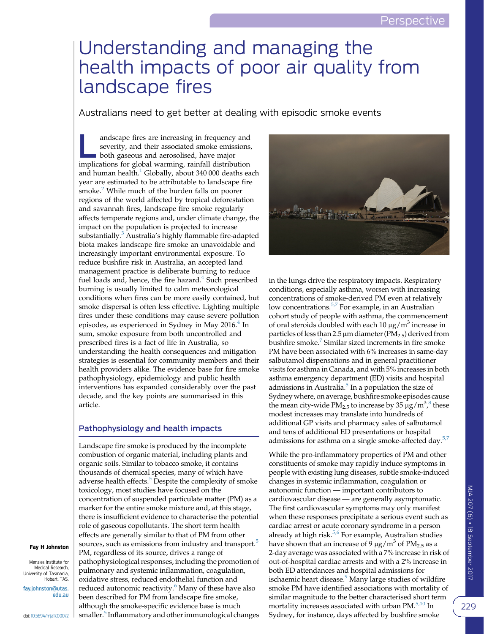# Understanding and managing the health impacts of poor air quality from landscape fires

Australians need to get better at dealing with episodic smoke events

andscape fires are increasing in frequency and<br>severity, and their associated smoke emissions<br>both gaseous and aerosolised, have major<br>implications for algebra varming, rainfall distribution severity, and their associated smoke emissions, both gaseous and aerosolised, have major implications for global warming, rainfall distribution and human health. $1$  Globally, about 340 000 deaths each year are estimated to be attributable to landscape fire smoke. $2$  While much of the burden falls on poorer regions of the world affected by tropical deforestation and savannah fires, landscape fire smoke regularly affects temperate regions and, under climate change, the impact on the population is projected to increase substantially. $3$  Australia's highly flammable fire-adapted biota makes landscape fire smoke an unavoidable and increasingly important environmental exposure. To reduce bushfire risk in Australia, an accepted land management practice is deliberate burning to reduce fuel loads and, hence, the fire hazard. $4$  Such prescribed burning is usually limited to calm meteorological conditions when fires can be more easily contained, but smoke dispersal is often less effective. Lighting multiple fires under these conditions may cause severe pollution episodes, as experienced in Sydney in May  $2016<sup>4</sup>$  $2016<sup>4</sup>$  $2016<sup>4</sup>$  In sum, smoke exposure from both uncontrolled and prescribed fires is a fact of life in Australia, so understanding the health consequences and mitigation strategies is essential for community members and their health providers alike. The evidence base for fire smoke pathophysiology, epidemiology and public health interventions has expanded considerably over the past decade, and the key points are summarised in this article.

# Pathophysiology and health impacts

Landscape fire smoke is produced by the incomplete combustion of organic material, including plants and organic soils. Similar to tobacco smoke, it contains thousands of chemical species, many of which have adverse health effects.<sup>[5](#page-2-0)</sup> Despite the complexity of smoke toxicology, most studies have focused on the concentration of suspended particulate matter (PM) as a marker for the entire smoke mixture and, at this stage, there is insufficient evidence to characterise the potential role of gaseous copollutants. The short term health effects are generally similar to that of PM from other sources, such as emissions from industry and transport.<sup>[5](#page-2-0)</sup> PM, regardless of its source, drives a range of pathophysiological responses, including the promotion of pulmonary and systemic inflammation, coagulation, oxidative stress, reduced endothelial function and reduced autonomic reactivity.<sup>[6](#page-2-0)</sup> Many of these have also been described for PM from landscape fire smoke, although the smoke-specific evidence base is much smaller.<sup>[5](#page-2-0)</sup> Inflammatory and other immunological changes



in the lungs drive the respiratory impacts. Respiratory conditions, especially asthma, worsen with increasing concentrations of smoke-derived PM even at relatively low concentrations.<sup>[5,7](#page-2-0)</sup> For example, in an Australian cohort study of people with asthma, the commencement of oral steroids doubled with each 10  $\mu$ g/m<sup>3</sup> increase in particles of less than 2.5  $\mu$ m diameter (PM<sub>2.5</sub>) derived from bushfire smoke.[7](#page-2-0) Similar sized increments in fire smoke PM have been associated with 6% increases in same-day salbutamol dispensations and in general practitioner visits for asthma in Canada, and with 5% increases in both asthma emergency department (ED) visits and hospital admissions in Australia. $<sup>5</sup>$  $<sup>5</sup>$  $<sup>5</sup>$  In a population the size of</sup> Sydney where, on average, bushfire smoke episodes cause the mean city-wide  $PM_{2.5}$  to increase by 35  $\mu$ g/m<sup>3</sup>,<sup>[8](#page-2-0)</sup> these modest increases may translate into hundreds of additional GP visits and pharmacy sales of salbutamol and tens of additional ED presentations or hospital admissions for asthma on a single smoke-affected day.<sup>5,7</sup>

While the pro-inflammatory properties of PM and other constituents of smoke may rapidly induce symptoms in people with existing lung diseases, subtle smoke-induced changes in systemic inflammation, coagulation or autonomic function — important contributors to cardiovascular disease — are generally asymptomatic. The first cardiovascular symptoms may only manifest when these responses precipitate a serious event such as cardiac arrest or acute coronary syndrome in a person already at high risk. $5.6$  For example, Australian studies have shown that an increase of 9  $\mu$ g/m<sup>3</sup> of PM<sub>2.5</sub> as a 2-day average was associated with a 7% increase in risk of out-of-hospital cardiac arrests and with a 2% increase in both ED attendances and hospital admissions for ischaemic heart disease.<sup>[9](#page-2-0)</sup> Many large studies of wildfire smoke PM have identified associations with mortality of similar magnitude to the better characterised short term mortality increases associated with urban PM.<sup>[5,10](#page-2-0)</sup> In Sydney, for instance, days affected by bushfire smoke

Menzies Institute for Medical Research, University of Tasmania, Hobart, TAS.

[fay.johnston@utas.](mailto:fay.johnston@utas.edu.au) [edu.au](mailto:fay.johnston@utas.edu.au)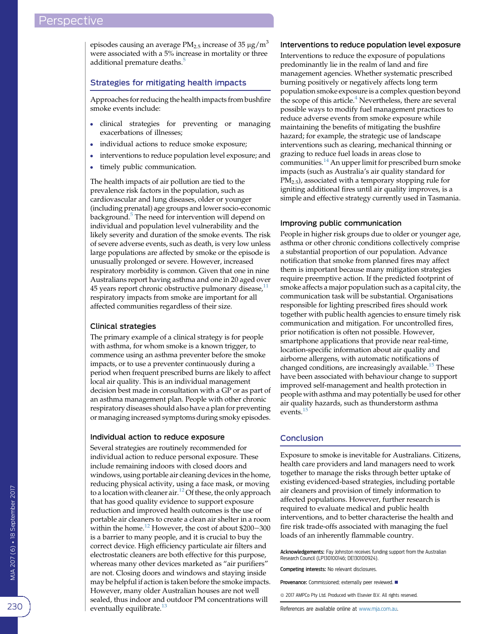episodes causing an average  $PM_{2.5}$  increase of 35  $\mu$ g/m<sup>3</sup> were associated with a 5% increase in mortality or three additional premature deaths.<sup>[5](#page-2-0)</sup>

## Strategies for mitigating health impacts

Approaches for reducing the health impacts from bushfire smoke events include:

- clinical strategies for preventing or managing exacerbations of illnesses;
- individual actions to reduce smoke exposure;
- interventions to reduce population level exposure; and
- timely public communication.

The health impacts of air pollution are tied to the prevalence risk factors in the population, such as cardiovascular and lung diseases, older or younger (including prenatal) age groups and lower socio-economic background.<sup>5</sup> The need for intervention will depend on individual and population level vulnerability and the likely severity and duration of the smoke events. The risk of severe adverse events, such as death, is very low unless large populations are affected by smoke or the episode is unusually prolonged or severe. However, increased respiratory morbidity is common. Given that one in nine Australians report having asthma and one in 20 aged over 45 years report chronic obstructive pulmonary disease, $11$ respiratory impacts from smoke are important for all affected communities regardless of their size.

### Clinical strategies

The primary example of a clinical strategy is for people with asthma, for whom smoke is a known trigger, to commence using an asthma preventer before the smoke impacts, or to use a preventer continuously during a period when frequent prescribed burns are likely to affect local air quality. This is an individual management decision best made in consultation with a GP or as part of an asthma management plan. People with other chronic respiratory diseases should also have a plan for preventing or managing increased symptoms during smoky episodes.

#### Individual action to reduce exposure

Several strategies are routinely recommended for individual action to reduce personal exposure. These include remaining indoors with closed doors and windows, using portable air cleaning devices in the home, reducing physical activity, using a face mask, or moving to a location with cleaner air.<sup>[12](#page-2-0)</sup> Of these, the only approach that has good quality evidence to support exposure reduction and improved health outcomes is the use of portable air cleaners to create a clean air shelter in a room within the home. $^{12}$  $^{12}$  $^{12}$  However, the cost of about \$200-300 is a barrier to many people, and it is crucial to buy the correct device. High efficiency particulate air filters and electrostatic cleaners are both effective for this purpose, whereas many other devices marketed as "air purifiers" are not. Closing doors and windows and staying inside may be helpful if action is taken before the smoke impacts. However, many older Australian houses are not well sealed, thus indoor and outdoor PM concentrations will eventually equilibrate.<sup>[13](#page-2-0)</sup>

#### Interventions to reduce population level exposure

Interventions to reduce the exposure of populations predominantly lie in the realm of land and fire management agencies. Whether systematic prescribed burning positively or negatively affects long term population smoke exposure is a complex question beyond the scope of this article.<sup>[4](#page-2-0)</sup> Nevertheless, there are several possible ways to modify fuel management practices to reduce adverse events from smoke exposure while maintaining the benefits of mitigating the bushfire hazard; for example, the strategic use of landscape interventions such as clearing, mechanical thinning or grazing to reduce fuel loads in areas close to communities.[14](#page-2-0) An upper limit for prescribed burn smoke impacts (such as Australia's air quality standard for  $PM_{2.5}$ ), associated with a temporary stopping rule for igniting additional fires until air quality improves, is a simple and effective strategy currently used in Tasmania.

#### Improving public communication

People in higher risk groups due to older or younger age, asthma or other chronic conditions collectively comprise a substantial proportion of our population. Advance notification that smoke from planned fires may affect them is important because many mitigation strategies require preemptive action. If the predicted footprint of smoke affects a major population such as a capital city, the communication task will be substantial. Organisations responsible for lighting prescribed fires should work together with public health agencies to ensure timely risk communication and mitigation. For uncontrolled fires, prior notification is often not possible. However, smartphone applications that provide near real-time, location-specific information about air quality and airborne allergens, with automatic notifications of changed conditions, are increasingly available.<sup>[15](#page-2-0)</sup> These have been associated with behaviour change to support improved self-management and health protection in people with asthma and may potentially be used for other air quality hazards, such as thunderstorm asthma events. $<sup>1</sup>$ </sup>

## Conclusion

Exposure to smoke is inevitable for Australians. Citizens, health care providers and land managers need to work together to manage the risks through better uptake of existing evidenced-based strategies, including portable air cleaners and provision of timely information to affected populations. However, further research is required to evaluate medical and public health interventions, and to better characterise the health and fire risk trade-offs associated with managing the fuel loads of an inherently flammable country.

Acknowledgements: Fay Johnston receives funding support from the Australian Research Council (LP130100146; DE130100924).

Competing interests: No relevant disclosures.

Provenance: Commissioned; externally peer reviewed.

 $@$  2017 AMPCo Pty Ltd. Produced with Elsevier B.V. All rights reserved.

References are available online at [www.mja.com.au.](http://www.mja.com.au)